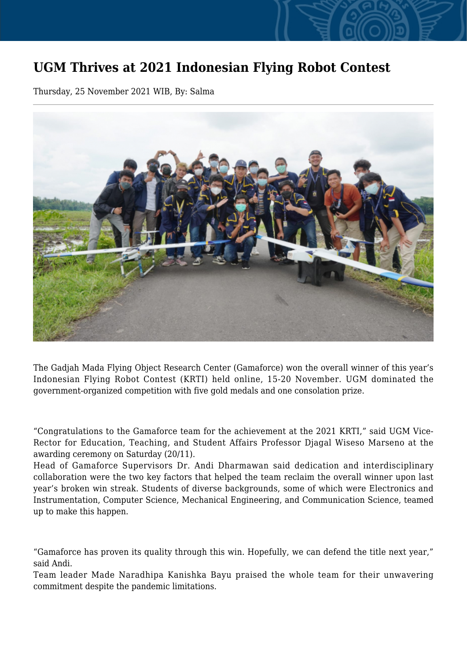## **UGM Thrives at 2021 Indonesian Flying Robot Contest**

Thursday, 25 November 2021 WIB, By: Salma



The Gadjah Mada Flying Object Research Center (Gamaforce) won the overall winner of this year's Indonesian Flying Robot Contest (KRTI) held online, 15-20 November. UGM dominated the government-organized competition with five gold medals and one consolation prize.

"Congratulations to the Gamaforce team for the achievement at the 2021 KRTI," said UGM Vice-Rector for Education, Teaching, and Student Affairs Professor Djagal Wiseso Marseno at the awarding ceremony on Saturday (20/11).

Head of Gamaforce Supervisors Dr. Andi Dharmawan said dedication and interdisciplinary collaboration were the two key factors that helped the team reclaim the overall winner upon last year's broken win streak. Students of diverse backgrounds, some of which were Electronics and Instrumentation, Computer Science, Mechanical Engineering, and Communication Science, teamed up to make this happen.

"Gamaforce has proven its quality through this win. Hopefully, we can defend the title next year," said Andi.

Team leader Made Naradhipa Kanishka Bayu praised the whole team for their unwavering commitment despite the pandemic limitations.